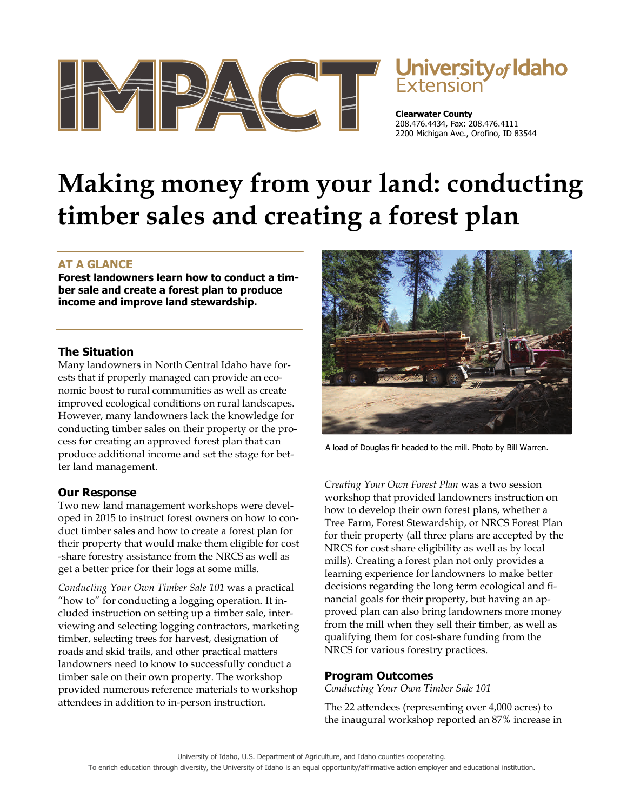

# University<sub>of</sub> Idaho

**Clearwater County**  208.476.4434, Fax: 208.476.4111 2200 Michigan Ave., Orofino, ID 83544

# **Making money from your land: conducting timber sales and creating a forest plan**

# **AT A GLANCE**

**Forest landowners learn how to conduct a timber sale and create a forest plan to produce income and improve land stewardship.** 

### **The Situation**

Many landowners in North Central Idaho have forests that if properly managed can provide an economic boost to rural communities as well as create improved ecological conditions on rural landscapes. However, many landowners lack the knowledge for conducting timber sales on their property or the process for creating an approved forest plan that can produce additional income and set the stage for better land management.

# **Our Response**

Two new land management workshops were developed in 2015 to instruct forest owners on how to conduct timber sales and how to create a forest plan for their property that would make them eligible for cost -share forestry assistance from the NRCS as well as get a better price for their logs at some mills.

*Conducting Your Own Timber Sale 101* was a practical "how to" for conducting a logging operation. It included instruction on setting up a timber sale, interviewing and selecting logging contractors, marketing timber, selecting trees for harvest, designation of roads and skid trails, and other practical matters landowners need to know to successfully conduct a timber sale on their own property. The workshop provided numerous reference materials to workshop attendees in addition to in-person instruction.



A load of Douglas fir headed to the mill. Photo by Bill Warren.

*Creating Your Own Forest Plan* was a two session workshop that provided landowners instruction on how to develop their own forest plans, whether a Tree Farm, Forest Stewardship, or NRCS Forest Plan for their property (all three plans are accepted by the NRCS for cost share eligibility as well as by local mills). Creating a forest plan not only provides a learning experience for landowners to make better decisions regarding the long term ecological and financial goals for their property, but having an approved plan can also bring landowners more money from the mill when they sell their timber, as well as qualifying them for cost-share funding from the NRCS for various forestry practices.

### **Program Outcomes**

*Conducting Your Own Timber Sale 101* 

The 22 attendees (representing over 4,000 acres) to the inaugural workshop reported an 87% increase in